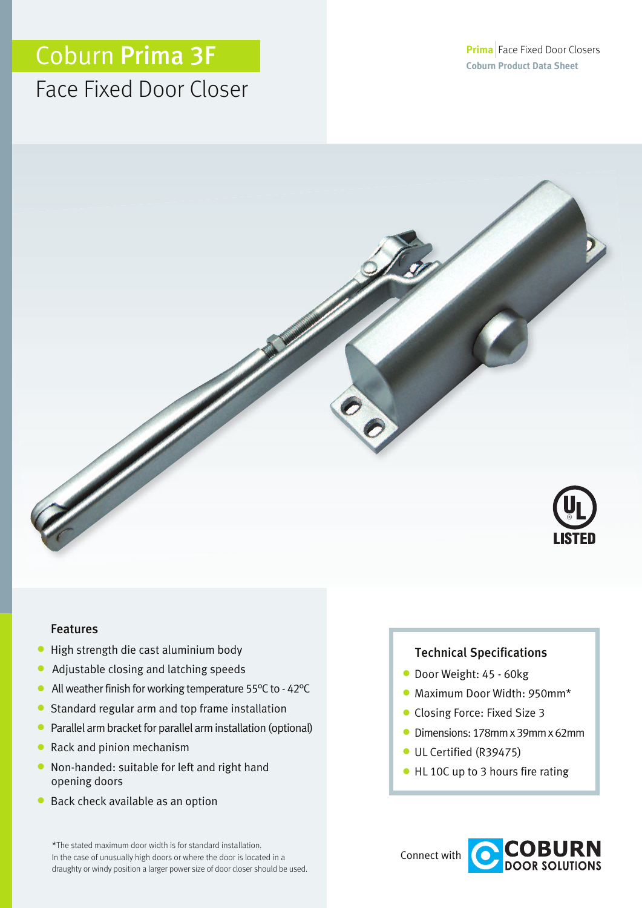# Coburn Prima 3F

# Face Fixed Door Closer



### Features

- **•** High strength die cast aluminium body
- **•** Adjustable closing and latching speeds
- All weather finish for working temperature 55°C to 42°C
- **•** Standard regular arm and top frame installation
- Parallel arm bracket for parallel arm installation (optional)
- **•** Rack and pinion mechanism
- **•** Non-handed: suitable for left and right hand opening doors
- **•** Back check available as an option

\*The stated maximum door width is for standard installation. In the case of unusually high doors or where the door is located in a draughty or windy position a larger power size of door closer should be used.

### Technical Specifications

- **•** Door Weight: <sup>45</sup> 60kg
- **•** Maximum Door Width: 950mm\*
- **•** Closing Force: Fixed Size <sup>3</sup>
- **•** Dimensions: 178mmx 39mmx 62mm
- **•** UL Certified (R39475)
- **•** HL 10C up to <sup>3</sup> hours fire rating

Connect with